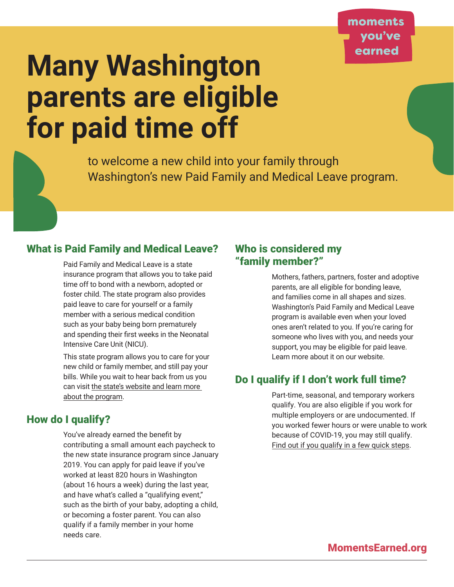# **Many Washington parents are eligible for paid time off**

to welcome a new child into your family through Washington's new Paid Family and Medical Leave program.

# What is Paid Family and Medical Leave?

Paid Family and Medical Leave is a state insurance program that allows you to take paid time off to bond with a newborn, adopted or foster child. The state program also provides paid leave to care for yourself or a family member with a serious medical condition such as your baby being born prematurely and spending their first weeks in the Neonatal Intensive Care Unit (NICU).

This state program allows you to care for your new child or family member, and still pay your bills. While you wait to hear back from us you can visit [the state's website and learn more](https://paidleave.wa.gov/individuals-and-families/)  [about the program](https://paidleave.wa.gov/individuals-and-families/).

# How do I qualify?

You've already earned the benefit by contributing a small amount each paycheck to the new state insurance program since January 2019. You can apply for paid leave if you've worked at least 820 hours in Washington (about 16 hours a week) during the last year, and have what's called a "qualifying event," such as the birth of your baby, adopting a child, or becoming a foster parent. You can also qualify if a family member in your home needs care.

# Who is considered my "family member?"

Mothers, fathers, partners, foster and adoptive parents, are all eligible for bonding leave, and families come in all shapes and sizes. Washington's Paid Family and Medical Leave program is available even when your loved ones aren't related to you. If you're caring for someone who lives with you, and needs your support, you may be eligible for paid leave. Learn more about it on our website.

# Do I qualify if I don't work full time?

Part-time, seasonal, and temporary workers qualify. You are also eligible if you work for multiple employers or are undocumented. If you worked fewer hours or were unable to work because of COVID-19, you may still qualify. [Find out if you qualify in a few quick steps](https://paidleave.wa.gov/find-out-how-paid-leave-works/).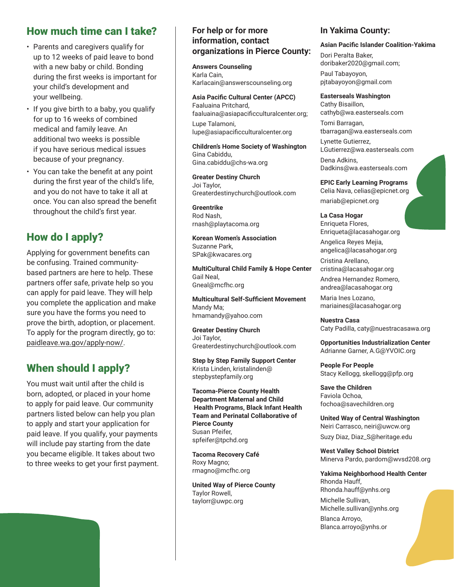## How much time can I take?

- Parents and caregivers qualify for up to 12 weeks of paid leave to bond with a new baby or child. Bonding during the first weeks is important for your child's development and your wellbeing.
- If you give birth to a baby, you qualify for up to 16 weeks of combined medical and family leave. An additional two weeks is possible if you have serious medical issues because of your pregnancy.
- You can take the benefit at any point during the first year of the child's life, and you do not have to take it all at once. You can also spread the benefit throughout the child's first year.

## How do I apply?

Applying for government benefits can be confusing. Trained communitybased partners are here to help. These partners offer safe, private help so you can apply for paid leave. They will help you complete the application and make sure you have the forms you need to prove the birth, adoption, or placement. To apply for the program directly, go to: [paidleave.wa.gov/apply-now/](http://paidleave.wa.gov/apply-now/).

## When should I apply?

You must wait until after the child is born, adopted, or placed in your home to apply for paid leave. Our community partners listed below can help you plan to apply and start your application for paid leave. If you qualify, your payments will include pay starting from the date you became eligible. It takes about two to three weeks to get your first payment.

#### **For help or for more information, contact organizations in Pierce County:**

**Answers Counseling**  Karla Cain, [Karlacain@answerscounseling.org](mailto:Karlacain@answerscounseling.org)

**Asia Pacific Cultural Center (APCC)** Faaluaina Pritchard, [faaluaina@asiapacificculturalcenter.org](mailto:faaluaina@asiapacificculturalcenter.org);

Lupe Talamoni, [lupe@asiapacificculturalcenter.org](mailto:lupe@asiapacificculturalcenter.org)

**Children's Home Society of Washington** Gina Cabiddu, [Gina.cabiddu@chs-wa.org](mailto:Gina.cabiddu@chs-wa.org)

**Greater Destiny Church** Joi Taylor, [Greaterdestinychurch@outlook.com](mailto:Greaterdestinychurch@outlook.com)

**Greentrike** Rod Nash, [rnash@playtacoma.org](mailto:rnash@playtacoma.org)

**Korean Women's Association**  Suzanne Park, [SPak@kwacares.org](mailto:SPak@kwacares.org)

**MultiCultural Child Family & Hope Center**  Gail Neal, [Gneal@mcfhc.org](mailto:Gneal@mcfhc.org)

**Multicultural Self-Sufficient Movement**  Mandy Ma; [hmamandy@yahoo.com](mailto:hmamandy@yahoo.com)

**Greater Destiny Church** Joi Taylor, [Greaterdestinychurch@outlook.com](mailto:Greaterdestinychurch@outlook.com)

**Step by Step Family Support Center**  Krista Linden, [kristalinden@](mailto:kristalinden@stepbystepfamily.org) [stepbystepfamily.org](mailto:kristalinden@stepbystepfamily.org)

**Tacoma-Pierce County Health Department Maternal and Child Health Programs, Black Infant Health Team and Perinatal Collaborative of Pierce County** Susan Pfeifer, [spfeifer@tpchd.org](mailto:spfeifer@tpchd.org)

**Tacoma Recovery Café**  Roxy Magno; [rmagno@mcfhc.org](mailto:rmagno@mcfhc.org)

**United Way of Pierce County** Taylor Rowell, [taylorr@uwpc.org](mailto:taylorr@uwpc.org)

#### **In Yakima County:**

#### **Asian Pacific Islander Coalition-Yakima**

Dori Peralta Baker, [doribaker2020@gmail.com;](mailto:doribaker2020@gmail.com) Paul Tabayoyon, [pjtabayoyon@gmail.com](mailto:pjtabayoyon@gmail.com)

**Easterseals Washington** Cathy Bisaillon, [cathyb@wa.easterseals.com](mailto:cathyb@wa.easterseals.com) Tomi Barragan, [tbarragan@wa.easterseals.com](mailto:tbarragan@wa.easterseals.com) Lynette Gutierrez,

[LGutierrez@wa.easterseals.com](mailto:LGutierrez@wa.easterseals.com) Dena Adkins, [Dadkins@wa.easterseals.com](mailto:Dadkins@wa.easterseals.com)

**EPIC Early Learning Programs** Celia Nava, [celias@epicnet.org](mailto:celias@epicnet.org) [mariab@epicnet.org](mailto:mariab@epicnet.org)

**La Casa Hogar** Enriqueta Flores, [Enriqueta@lacasahogar.org](mailto:Enriqueta@lacasahogar.org)

Angelica Reyes Mejia, [angelica@lacasahogar.org](mailto:angelica@lacasahogar.org)

Cristina Arellano, [cristina@lacasahogar.org](mailto:cristina@lacasahogar.org)

Andrea Hernandez Romero, [andrea@lacasahogar.org](mailto:andrea@lacasahogar.org)

Maria Ines Lozano, [mariaines@lacasahogar.org](mailto:mariaines@lacasahogar.org)

**Nuestra Casa** Caty Padilla, [caty@nuestracasawa.org](mailto:caty@nuestracasawa.org)

**Opportunities Industrialization Center**  Adrianne Garner, [A.G@YVOIC.org](mailto:A.G@YVOIC.org)

**People For People** Stacy Kellogg, [skellogg@pfp.org](mailto:skellogg@pfp.org)

**Save the Children** Faviola Ochoa, [fochoa@savechildren.org](mailto:fochoa@savechildren.org)

**United Way of Central Washington** Neiri Carrasco, [neiri@uwcw.org](mailto:neiri@uwcw.org) Suzy Diaz, [Diaz\\_S@heritage.edu](mailto:Diaz_S@heritage.edu)

**West Valley School District** Minerva Pardo, [pardom@wvsd208.org](mailto:pardom@wvsd208.org)

**Yakima Neighborhood Health Center** Rhonda Hauff,

[Rhonda.hauff@ynhs.org](mailto:Rhonda.hauff@ynhs.org) Michelle Sullivan,

[Michelle.sullivan@ynhs.org](mailto:Michelle.sullivan@ynhs.org) Blanca Arroyo,

[Blanca.arroyo@ynhs.or](mailto:Blanca.arroyo@ynhs.or)